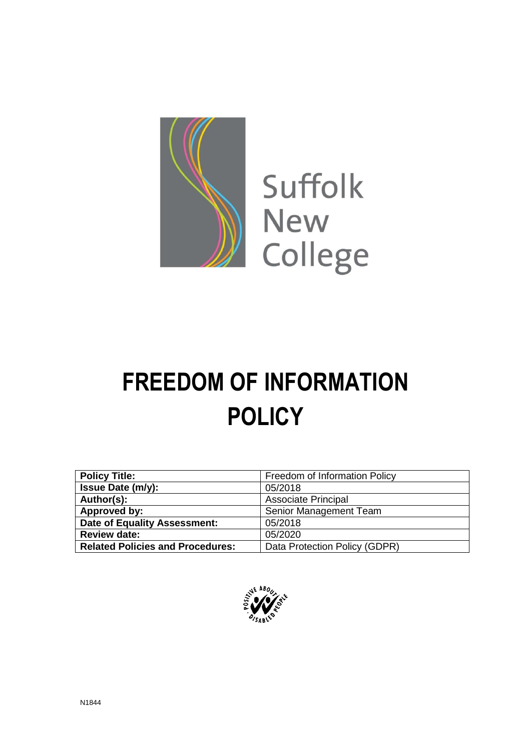

# **FREEDOM OF INFORMATION POLICY**

| <b>Policy Title:</b>                    | Freedom of Information Policy |
|-----------------------------------------|-------------------------------|
| <b>Issue Date (m/y):</b>                | 05/2018                       |
| Author(s):                              | <b>Associate Principal</b>    |
| Approved by:                            | Senior Management Team        |
| Date of Equality Assessment:            | 05/2018                       |
| <b>Review date:</b>                     | 05/2020                       |
| <b>Related Policies and Procedures:</b> | Data Protection Policy (GDPR) |

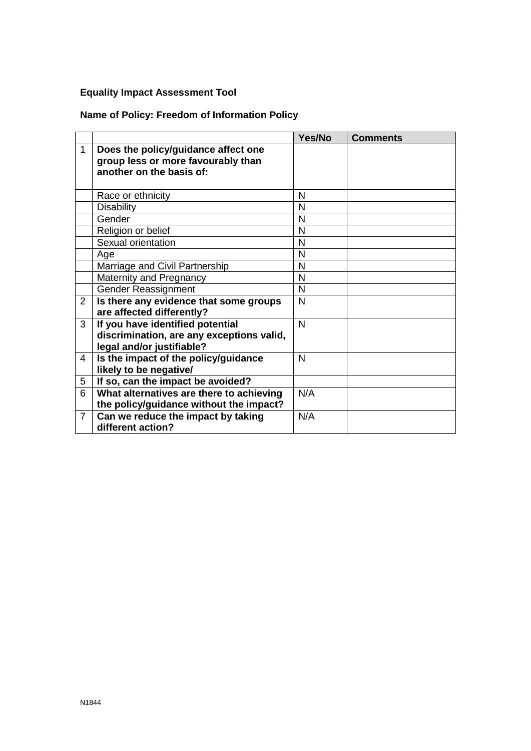### **Equality Impact Assessment Tool**

# **Name of Policy: Freedom of Information Policy**

|                |                                           | Yes/No       | <b>Comments</b> |
|----------------|-------------------------------------------|--------------|-----------------|
| 1              | Does the policy/guidance affect one       |              |                 |
|                | group less or more favourably than        |              |                 |
|                | another on the basis of:                  |              |                 |
|                |                                           |              |                 |
|                | Race or ethnicity                         | N            |                 |
|                | <b>Disability</b>                         | N            |                 |
|                | Gender                                    | N            |                 |
|                | Religion or belief                        | N            |                 |
|                | Sexual orientation                        | N            |                 |
|                | Age                                       | N            |                 |
|                | Marriage and Civil Partnership            | $\mathsf{N}$ |                 |
|                | Maternity and Pregnancy                   | N            |                 |
|                | Gender Reassignment                       | N            |                 |
| 2              | Is there any evidence that some groups    | N            |                 |
|                | are affected differently?                 |              |                 |
| 3              | If you have identified potential          | N            |                 |
|                | discrimination, are any exceptions valid, |              |                 |
|                | legal and/or justifiable?                 |              |                 |
| $\overline{4}$ | Is the impact of the policy/guidance      | $\mathsf{N}$ |                 |
|                | likely to be negative/                    |              |                 |
| 5              | If so, can the impact be avoided?         |              |                 |
| 6              | What alternatives are there to achieving  | N/A          |                 |
|                | the policy/guidance without the impact?   |              |                 |
| $\overline{7}$ | Can we reduce the impact by taking        | N/A          |                 |
|                | different action?                         |              |                 |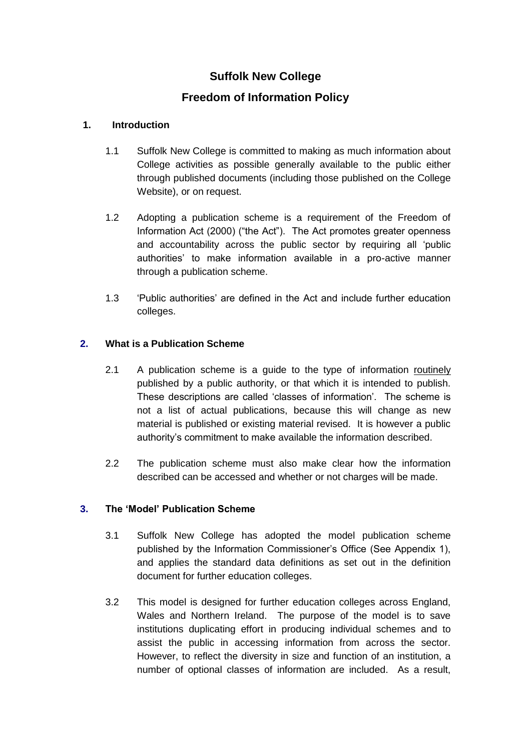# **Suffolk New College**

## **Freedom of Information Policy**

#### **1. Introduction**

- 1.1 Suffolk New College is committed to making as much information about College activities as possible generally available to the public either through published documents (including those published on the College Website), or on request.
- 1.2 Adopting a publication scheme is a requirement of the Freedom of Information Act (2000) ("the Act"). The Act promotes greater openness and accountability across the public sector by requiring all "public authorities" to make information available in a pro-active manner through a publication scheme.
- 1.3 "Public authorities" are defined in the Act and include further education colleges.

#### **2. What is a Publication Scheme**

- 2.1 A publication scheme is a guide to the type of information routinely published by a public authority, or that which it is intended to publish. These descriptions are called "classes of information". The scheme is not a list of actual publications, because this will change as new material is published or existing material revised. It is however a public authority's commitment to make available the information described.
- 2.2 The publication scheme must also make clear how the information described can be accessed and whether or not charges will be made.

#### **3. The 'Model' Publication Scheme**

- 3.1 Suffolk New College has adopted the model publication scheme published by the Information Commissioner's Office (See Appendix 1), and applies the standard data definitions as set out in the definition document for further education colleges.
- 3.2 This model is designed for further education colleges across England, Wales and Northern Ireland. The purpose of the model is to save institutions duplicating effort in producing individual schemes and to assist the public in accessing information from across the sector. However, to reflect the diversity in size and function of an institution, a number of optional classes of information are included. As a result,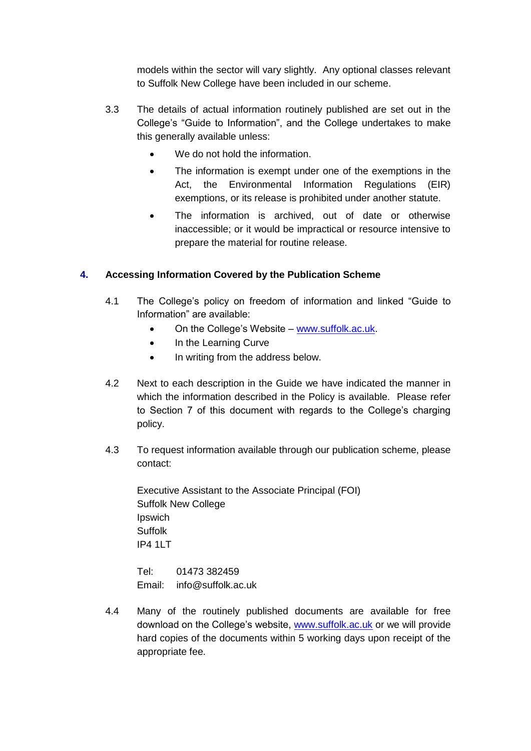models within the sector will vary slightly. Any optional classes relevant to Suffolk New College have been included in our scheme.

- 3.3 The details of actual information routinely published are set out in the College"s "Guide to Information", and the College undertakes to make this generally available unless:
	- We do not hold the information.
	- The information is exempt under one of the exemptions in the Act, the Environmental Information Regulations (EIR) exemptions, or its release is prohibited under another statute.
	- The information is archived, out of date or otherwise inaccessible; or it would be impractical or resource intensive to prepare the material for routine release.

#### **4. Accessing Information Covered by the Publication Scheme**

- 4.1 The College"s policy on freedom of information and linked "Guide to Information" are available:
	- On the College"s Website [www.suffolk.ac.uk.](http://www.suffolk.ac.uk/)
	- In the Learning Curve
	- In writing from the address below.
- 4.2 Next to each description in the Guide we have indicated the manner in which the information described in the Policy is available. Please refer to Section 7 of this document with regards to the College's charging policy.
- 4.3 To request information available through our publication scheme, please contact:

Executive Assistant to the Associate Principal (FOI) Suffolk New College Ipswich Suffolk **IP4 1LT** 

Tel: 01473 382459 Email: info@suffolk.ac.uk

4.4 Many of the routinely published documents are available for free download on the College's website, [www.suffolk.ac.uk](http://www.suffolk.ac.uk/) or we will provide hard copies of the documents within 5 working days upon receipt of the appropriate fee.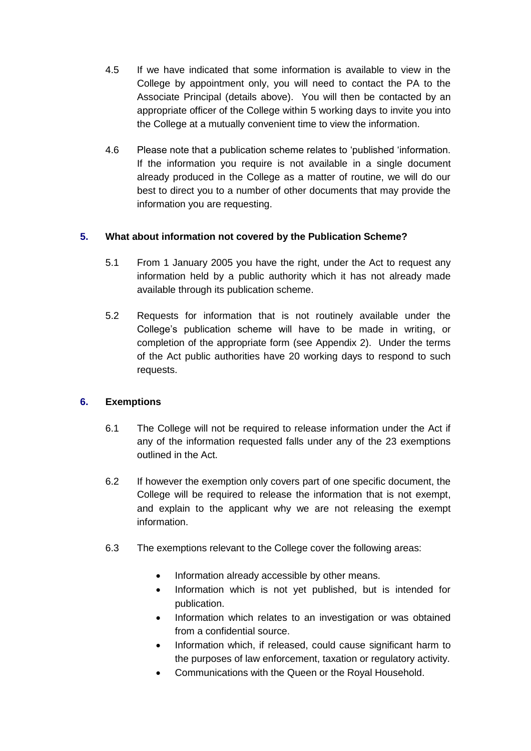- 4.5 If we have indicated that some information is available to view in the College by appointment only, you will need to contact the PA to the Associate Principal (details above). You will then be contacted by an appropriate officer of the College within 5 working days to invite you into the College at a mutually convenient time to view the information.
- 4.6 Please note that a publication scheme relates to "published "information. If the information you require is not available in a single document already produced in the College as a matter of routine, we will do our best to direct you to a number of other documents that may provide the information you are requesting.

#### **5. What about information not covered by the Publication Scheme?**

- 5.1 From 1 January 2005 you have the right, under the Act to request any information held by a public authority which it has not already made available through its publication scheme.
- 5.2 Requests for information that is not routinely available under the College"s publication scheme will have to be made in writing, or completion of the appropriate form (see Appendix 2). Under the terms of the Act public authorities have 20 working days to respond to such requests.

#### **6. Exemptions**

- 6.1 The College will not be required to release information under the Act if any of the information requested falls under any of the 23 exemptions outlined in the Act.
- 6.2 If however the exemption only covers part of one specific document, the College will be required to release the information that is not exempt, and explain to the applicant why we are not releasing the exempt information.
- 6.3 The exemptions relevant to the College cover the following areas:
	- Information already accessible by other means.
	- Information which is not yet published, but is intended for publication.
	- Information which relates to an investigation or was obtained from a confidential source.
	- Information which, if released, could cause significant harm to the purposes of law enforcement, taxation or regulatory activity.
	- Communications with the Queen or the Royal Household.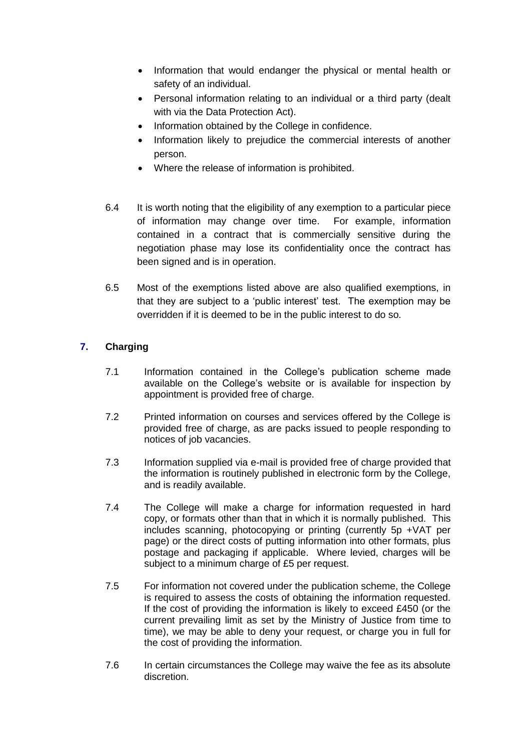- Information that would endanger the physical or mental health or safety of an individual.
- Personal information relating to an individual or a third party (dealt with via the Data Protection Act).
- Information obtained by the College in confidence.
- Information likely to prejudice the commercial interests of another person.
- Where the release of information is prohibited.
- 6.4 It is worth noting that the eligibility of any exemption to a particular piece of information may change over time. For example, information contained in a contract that is commercially sensitive during the negotiation phase may lose its confidentiality once the contract has been signed and is in operation.
- 6.5 Most of the exemptions listed above are also qualified exemptions, in that they are subject to a "public interest" test. The exemption may be overridden if it is deemed to be in the public interest to do so.

#### **7. Charging**

- 7.1 Information contained in the College"s publication scheme made available on the College's website or is available for inspection by appointment is provided free of charge.
- 7.2 Printed information on courses and services offered by the College is provided free of charge, as are packs issued to people responding to notices of job vacancies.
- 7.3 Information supplied via e-mail is provided free of charge provided that the information is routinely published in electronic form by the College, and is readily available.
- 7.4 The College will make a charge for information requested in hard copy, or formats other than that in which it is normally published. This includes scanning, photocopying or printing (currently 5p +VAT per page) or the direct costs of putting information into other formats, plus postage and packaging if applicable. Where levied, charges will be subject to a minimum charge of £5 per request.
- 7.5 For information not covered under the publication scheme, the College is required to assess the costs of obtaining the information requested. If the cost of providing the information is likely to exceed £450 (or the current prevailing limit as set by the Ministry of Justice from time to time), we may be able to deny your request, or charge you in full for the cost of providing the information.
- 7.6 In certain circumstances the College may waive the fee as its absolute discretion.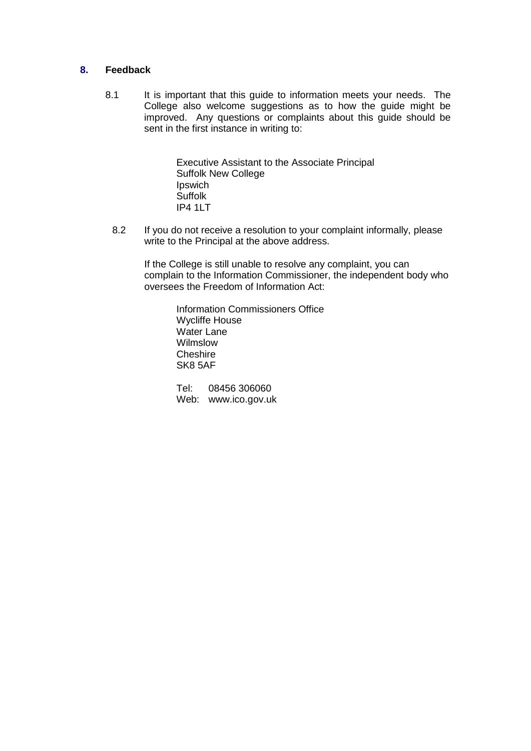#### **8. Feedback**

8.1 It is important that this guide to information meets your needs. The College also welcome suggestions as to how the guide might be improved. Any questions or complaints about this guide should be sent in the first instance in writing to:

> Executive Assistant to the Associate Principal Suffolk New College Ipswich Suffolk IP4 1LT

8.2 If you do not receive a resolution to your complaint informally, please write to the Principal at the above address.

If the College is still unable to resolve any complaint, you can complain to the Information Commissioner, the independent body who oversees the Freedom of Information Act:

> Information Commissioners Office Wycliffe House Water Lane Wilmslow **Cheshire** SK8 5AF

Tel: 08456 306060 Web: www.ico.gov.uk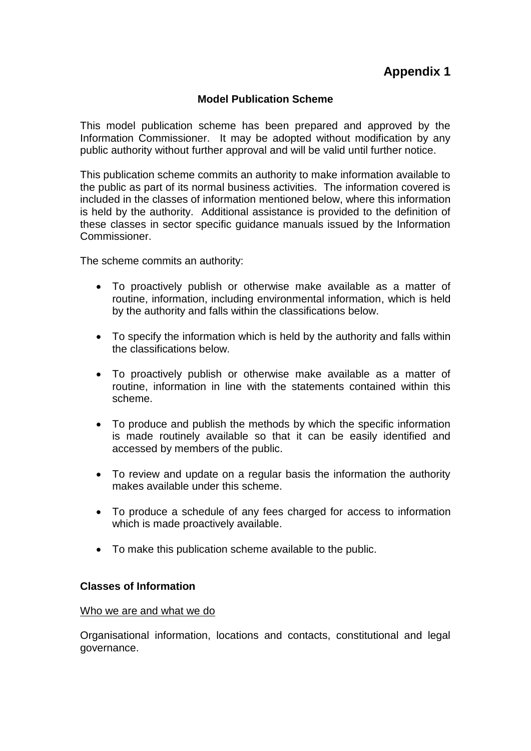#### **Model Publication Scheme**

This model publication scheme has been prepared and approved by the Information Commissioner. It may be adopted without modification by any public authority without further approval and will be valid until further notice.

This publication scheme commits an authority to make information available to the public as part of its normal business activities. The information covered is included in the classes of information mentioned below, where this information is held by the authority. Additional assistance is provided to the definition of these classes in sector specific guidance manuals issued by the Information Commissioner.

The scheme commits an authority:

- To proactively publish or otherwise make available as a matter of routine, information, including environmental information, which is held by the authority and falls within the classifications below.
- To specify the information which is held by the authority and falls within the classifications below.
- To proactively publish or otherwise make available as a matter of routine, information in line with the statements contained within this scheme.
- To produce and publish the methods by which the specific information is made routinely available so that it can be easily identified and accessed by members of the public.
- To review and update on a regular basis the information the authority makes available under this scheme.
- To produce a schedule of any fees charged for access to information which is made proactively available.
- To make this publication scheme available to the public.

#### **Classes of Information**

#### Who we are and what we do

Organisational information, locations and contacts, constitutional and legal governance.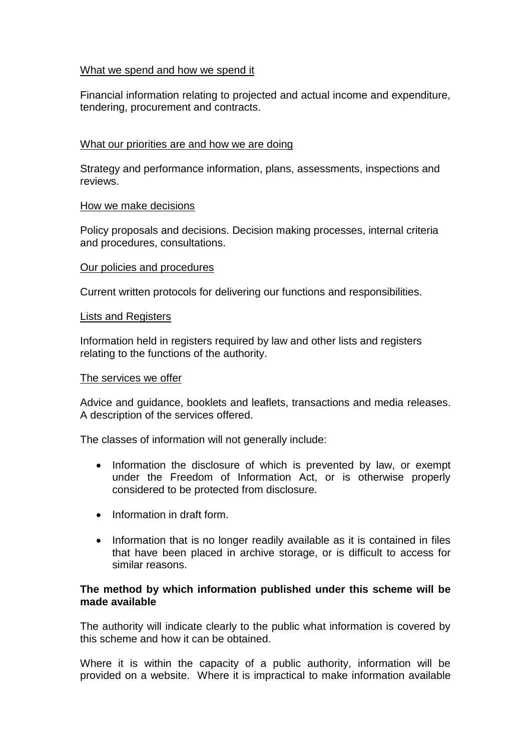#### What we spend and how we spend it

Financial information relating to projected and actual income and expenditure, tendering, procurement and contracts.

#### What our priorities are and how we are doing

Strategy and performance information, plans, assessments, inspections and reviews.

#### How we make decisions

Policy proposals and decisions. Decision making processes, internal criteria and procedures, consultations.

#### Our policies and procedures

Current written protocols for delivering our functions and responsibilities.

#### Lists and Registers

Information held in registers required by law and other lists and registers relating to the functions of the authority.

#### The services we offer

Advice and guidance, booklets and leaflets, transactions and media releases. A description of the services offered.

The classes of information will not generally include:

- Information the disclosure of which is prevented by law, or exempt under the Freedom of Information Act, or is otherwise properly considered to be protected from disclosure.
- Information in draft form.
- Information that is no longer readily available as it is contained in files that have been placed in archive storage, or is difficult to access for similar reasons.

#### **The method by which information published under this scheme will be made available**

The authority will indicate clearly to the public what information is covered by this scheme and how it can be obtained.

Where it is within the capacity of a public authority, information will be provided on a website. Where it is impractical to make information available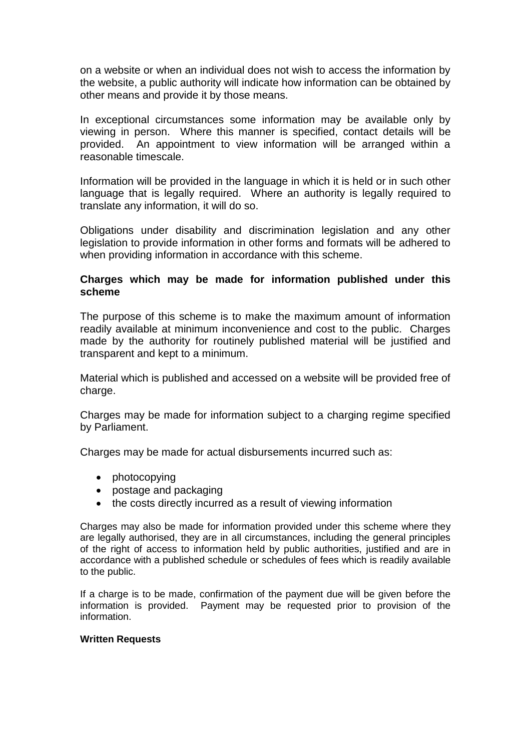on a website or when an individual does not wish to access the information by the website, a public authority will indicate how information can be obtained by other means and provide it by those means.

In exceptional circumstances some information may be available only by viewing in person. Where this manner is specified, contact details will be provided. An appointment to view information will be arranged within a reasonable timescale.

Information will be provided in the language in which it is held or in such other language that is legally required. Where an authority is legally required to translate any information, it will do so.

Obligations under disability and discrimination legislation and any other legislation to provide information in other forms and formats will be adhered to when providing information in accordance with this scheme.

#### **Charges which may be made for information published under this scheme**

The purpose of this scheme is to make the maximum amount of information readily available at minimum inconvenience and cost to the public. Charges made by the authority for routinely published material will be justified and transparent and kept to a minimum.

Material which is published and accessed on a website will be provided free of charge.

Charges may be made for information subject to a charging regime specified by Parliament.

Charges may be made for actual disbursements incurred such as:

- photocopying
- postage and packaging
- the costs directly incurred as a result of viewing information

Charges may also be made for information provided under this scheme where they are legally authorised, they are in all circumstances, including the general principles of the right of access to information held by public authorities, justified and are in accordance with a published schedule or schedules of fees which is readily available to the public.

If a charge is to be made, confirmation of the payment due will be given before the information is provided. Payment may be requested prior to provision of the information.

#### **Written Requests**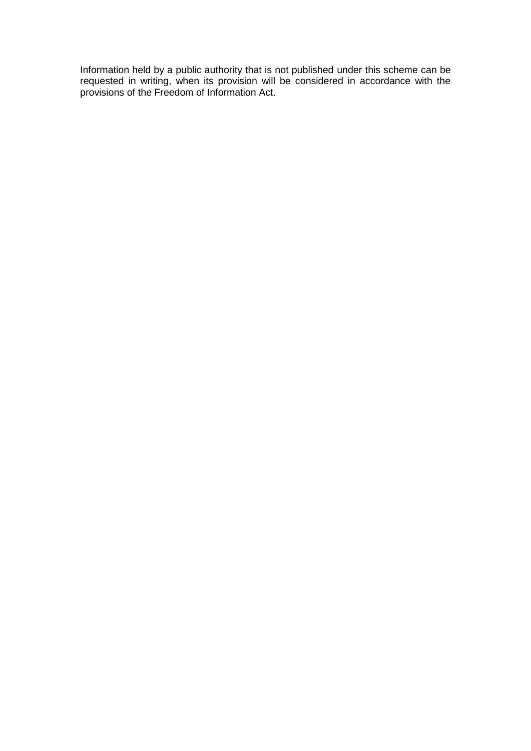Information held by a public authority that is not published under this scheme can be requested in writing, when its provision will be considered in accordance with the provisions of the Freedom of Information Act.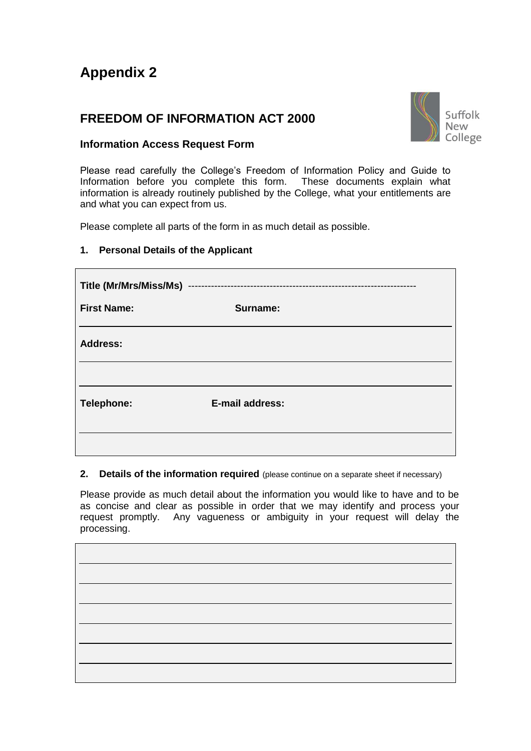# **Appendix 2**

# **FREEDOM OF INFORMATION ACT 2000**



#### **Information Access Request Form**

Please read carefully the College's Freedom of Information Policy and Guide to Information before you complete this form. These documents explain what information is already routinely published by the College, what your entitlements are and what you can expect from us.

Please complete all parts of the form in as much detail as possible.

#### **1. Personal Details of the Applicant**

| <b>First Name:</b> | Surname:               |  |
|--------------------|------------------------|--|
| <b>Address:</b>    |                        |  |
|                    |                        |  |
| Telephone:         | <b>E-mail address:</b> |  |
|                    |                        |  |

#### **2.** Details of the information required (please continue on a separate sheet if necessary)

Please provide as much detail about the information you would like to have and to be as concise and clear as possible in order that we may identify and process your request promptly. Any vagueness or ambiguity in your request will delay the processing.